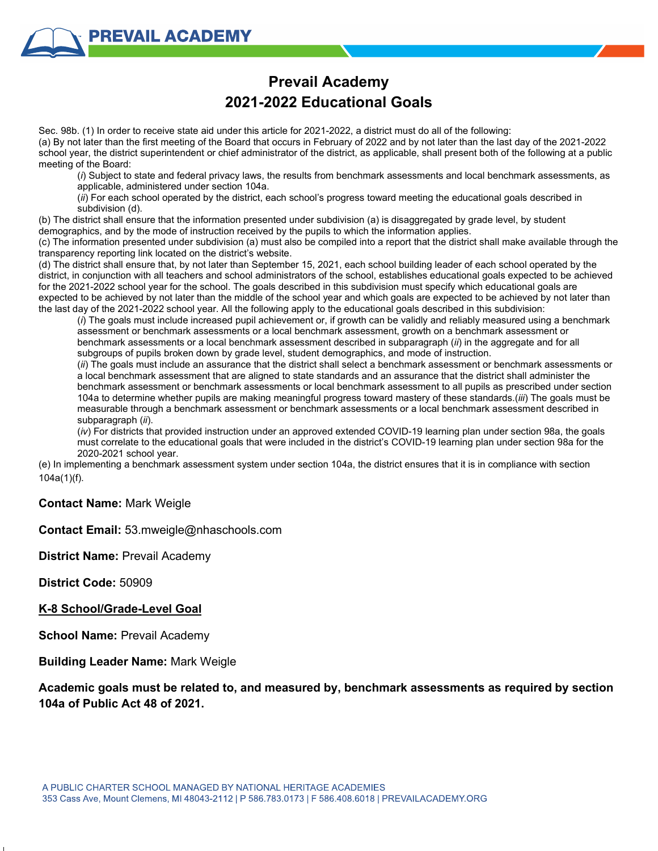## **Prevail Academy 2021-2022 Educational Goals**

Sec. 98b. (1) In order to receive state aid under this article for 2021-2022, a district must do all of the following: (a) By not later than the first meeting of the Board that occurs in February of 2022 and by not later than the last day of the 2021-2022 school year, the district superintendent or chief administrator of the district, as applicable, shall present both of the following at a public meeting of the Board:

(*i*) Subject to state and federal privacy laws, the results from benchmark assessments and local benchmark assessments, as applicable, administered under section 104a.

(*ii*) For each school operated by the district, each school's progress toward meeting the educational goals described in subdivision (d).

(b) The district shall ensure that the information presented under subdivision (a) is disaggregated by grade level, by student demographics, and by the mode of instruction received by the pupils to which the information applies.

(c) The information presented under subdivision (a) must also be compiled into a report that the district shall make available through the transparency reporting link located on the district's website.

(d) The district shall ensure that, by not later than September 15, 2021, each school building leader of each school operated by the district, in conjunction with all teachers and school administrators of the school, establishes educational goals expected to be achieved for the 2021-2022 school year for the school. The goals described in this subdivision must specify which educational goals are expected to be achieved by not later than the middle of the school year and which goals are expected to be achieved by not later than the last day of the 2021-2022 school year. All the following apply to the educational goals described in this subdivision:

(*i*) The goals must include increased pupil achievement or, if growth can be validly and reliably measured using a benchmark assessment or benchmark assessments or a local benchmark assessment, growth on a benchmark assessment or benchmark assessments or a local benchmark assessment described in subparagraph (*ii*) in the aggregate and for all subgroups of pupils broken down by grade level, student demographics, and mode of instruction.

(*ii*) The goals must include an assurance that the district shall select a benchmark assessment or benchmark assessments or a local benchmark assessment that are aligned to state standards and an assurance that the district shall administer the benchmark assessment or benchmark assessments or local benchmark assessment to all pupils as prescribed under section 104a to determine whether pupils are making meaningful progress toward mastery of these standards.(*iii*) The goals must be measurable through a benchmark assessment or benchmark assessments or a local benchmark assessment described in subparagraph (*ii*).

(*iv*) For districts that provided instruction under an approved extended COVID-19 learning plan under section 98a, the goals must correlate to the educational goals that were included in the district's COVID-19 learning plan under section 98a for the 2020-2021 school year.

(e) In implementing a benchmark assessment system under section 104a, the district ensures that it is in compliance with section 104a(1)(f).

## **Contact Name:** Mark Weigle

**Contact Email:** 53.mweigle@nhaschools.com

**District Name:** Prevail Academy

**District Code:** 50909

## **K-8 School/Grade-Level Goal**

**School Name:** Prevail Academy

**Building Leader Name:** Mark Weigle

**Academic goals must be related to, and measured by, benchmark assessments as required by section 104a of Public Act 48 of 2021.**